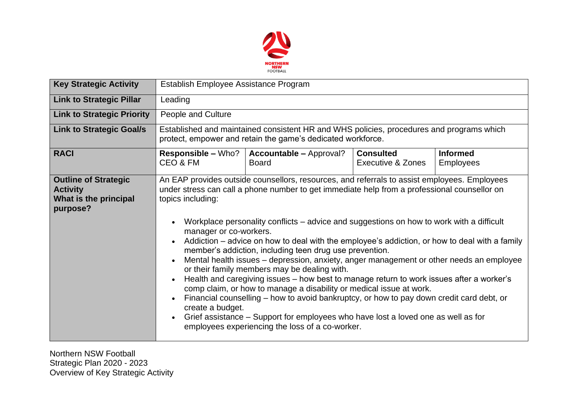

| <b>Key Strategic Activity</b>                                                       | Establish Employee Assistance Program                                                                                                                                                                                                                                                                                                                                                                                                                                                                                                                                                                                                                                                                                                                                                                                                                                                                                                                                                                                                                                                               |                                                |                                       |                                     |  |  |  |
|-------------------------------------------------------------------------------------|-----------------------------------------------------------------------------------------------------------------------------------------------------------------------------------------------------------------------------------------------------------------------------------------------------------------------------------------------------------------------------------------------------------------------------------------------------------------------------------------------------------------------------------------------------------------------------------------------------------------------------------------------------------------------------------------------------------------------------------------------------------------------------------------------------------------------------------------------------------------------------------------------------------------------------------------------------------------------------------------------------------------------------------------------------------------------------------------------------|------------------------------------------------|---------------------------------------|-------------------------------------|--|--|--|
| <b>Link to Strategic Pillar</b>                                                     | Leading                                                                                                                                                                                                                                                                                                                                                                                                                                                                                                                                                                                                                                                                                                                                                                                                                                                                                                                                                                                                                                                                                             |                                                |                                       |                                     |  |  |  |
| <b>Link to Strategic Priority</b>                                                   | People and Culture                                                                                                                                                                                                                                                                                                                                                                                                                                                                                                                                                                                                                                                                                                                                                                                                                                                                                                                                                                                                                                                                                  |                                                |                                       |                                     |  |  |  |
| <b>Link to Strategic Goal/s</b>                                                     | Established and maintained consistent HR and WHS policies, procedures and programs which<br>protect, empower and retain the game's dedicated workforce.                                                                                                                                                                                                                                                                                                                                                                                                                                                                                                                                                                                                                                                                                                                                                                                                                                                                                                                                             |                                                |                                       |                                     |  |  |  |
| <b>RACI</b>                                                                         | <b>Responsible - Who?</b><br>CEO & FM                                                                                                                                                                                                                                                                                                                                                                                                                                                                                                                                                                                                                                                                                                                                                                                                                                                                                                                                                                                                                                                               | <b>Accountable - Approval?</b><br><b>Board</b> | <b>Consulted</b><br>Executive & Zones | <b>Informed</b><br><b>Employees</b> |  |  |  |
| <b>Outline of Strategic</b><br><b>Activity</b><br>What is the principal<br>purpose? | An EAP provides outside counsellors, resources, and referrals to assist employees. Employees<br>under stress can call a phone number to get immediate help from a professional counsellor on<br>topics including:<br>Workplace personality conflicts – advice and suggestions on how to work with a difficult<br>manager or co-workers.<br>Addiction – advice on how to deal with the employee's addiction, or how to deal with a family<br>member's addiction, including teen drug use prevention.<br>Mental health issues - depression, anxiety, anger management or other needs an employee<br>$\bullet$<br>or their family members may be dealing with.<br>Health and caregiving issues – how best to manage return to work issues after a worker's<br>comp claim, or how to manage a disability or medical issue at work.<br>Financial counselling – how to avoid bankruptcy, or how to pay down credit card debt, or<br>$\bullet$<br>create a budget.<br>Grief assistance – Support for employees who have lost a loved one as well as for<br>employees experiencing the loss of a co-worker. |                                                |                                       |                                     |  |  |  |

Northern NSW Football Strategic Plan 2020 - 2023 Overview of Key Strategic Activity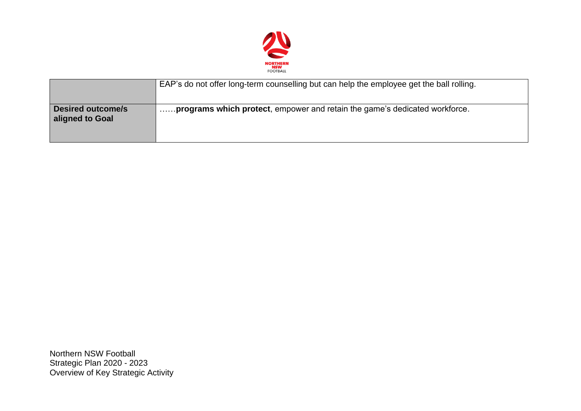

|                                             | EAP's do not offer long-term counselling but can help the employee get the ball rolling. |
|---------------------------------------------|------------------------------------------------------------------------------------------|
| <b>Desired outcome/s</b><br>aligned to Goal | <b>programs which protect</b> , empower and retain the game's dedicated workforce.       |

Northern NSW Football Strategic Plan 2020 - 2023 Overview of Key Strategic Activity